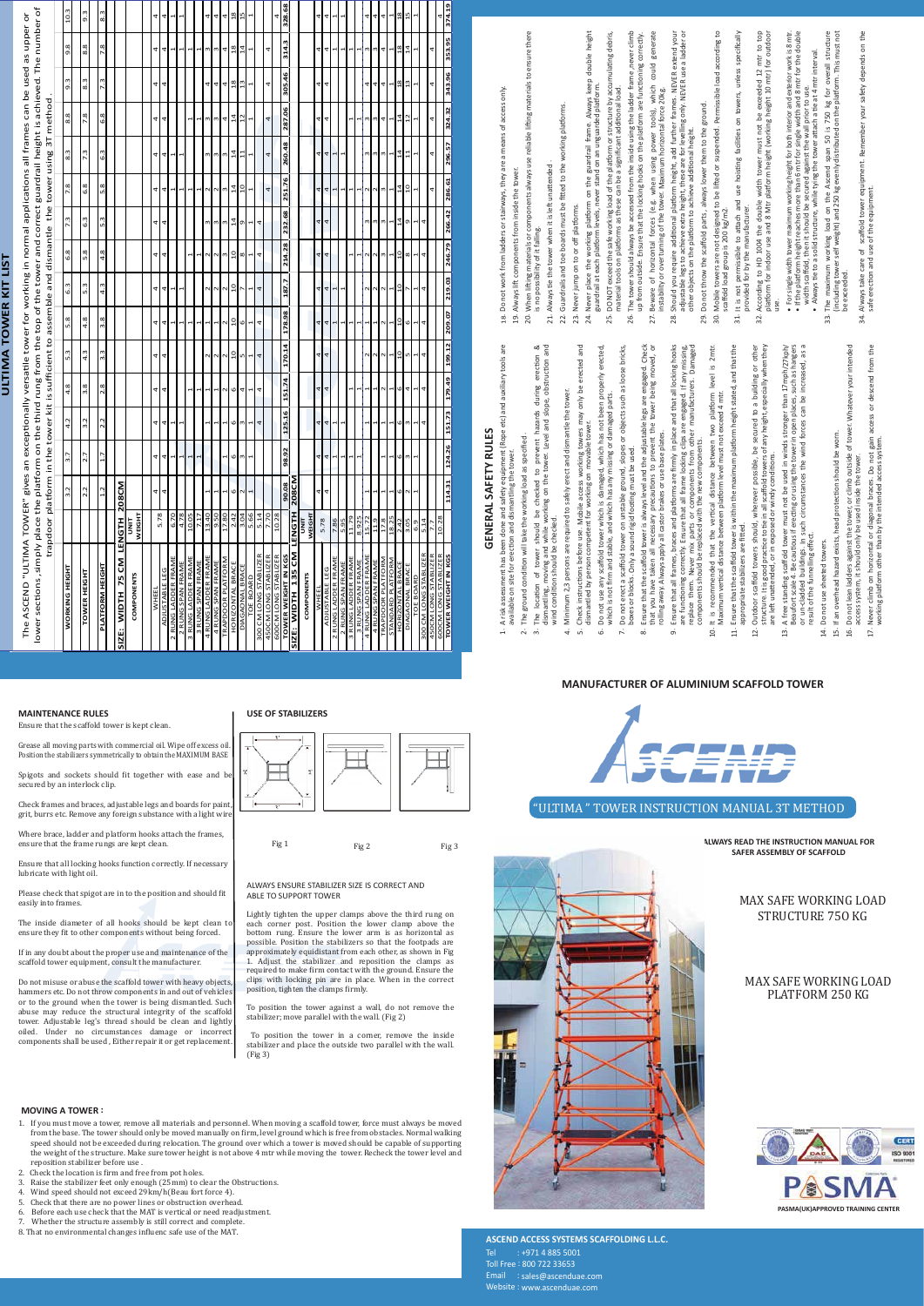

MAX SAFE WORKING LOAD STRUCTURE 75O KG

MAX SAFE WORKING LOAD

Fig 1 Fig 2 Fig 3

#### PLATFORM 250 KG



# **MANUFACTURER OF ALUMINIUM SCAFFOLD TOWER**

Tel : +971 4 885 5001 Toll Free : 800 722 33653 Email : sales@ascenduae.com Website : www.ascenduae.com



**SAFER ASSEMBLY OF SCAFFOLD**

#### **ASCEND ACCESS SYSTEMS SCAFFOLDING L.L.C.**

Spigots and sockets should fit together with ease and b secured by an interlock clip.

Check frames and braces, adjustable legs and boards for paint, grit, burrs etc. Remove any foreign substance with a light wir

**MAINTENANCE RULES**

#### **MOVING A TOWER :**

Ensure that the scaffold tower is kept clean.

Please check that spigot are in to the position and should fit easily into frames.

Grease all moving parts with commercial oil. Wipe off excess oil. Position the stabilizers symmetrically to obtain the MAXIMUM BASE

The inside diameter of all hooks should be kept clean to ensure they �it to other components without being forced.

Where brace, ladder and platform hooks attach the frames, ensure that the frame rungs are kept clean.

Ensure that all locking hooks function correctly. If necessary lubricate with light oil.

If in any doubt about the proper use and maintenance of the scaffold tower equipment, consult the manufacturer.

Do not misuse or abuse the scaffold tower with heavy objects,

# **GENERAL SAFETY RULES GENERAL SAFETY RULES**

A risk assessment has been done and safety equipment (Rope etc) and auxiliary tools are<br>available on site for erection and dismantling the tower. A risk assessment has been done and safety equipment (Rope etc) and auxiliary tools are

.

**TOWER WEIGHT IN KGS** 

WER WEIGHT IN KGS | 124.31 | 124.26 | 135.73 | 199.12 | 209.07 | 209.03 | 246.79 | 266.42 | 286.61 | 296.57 | 324.32 | 343.96 | 353.95 | 374.19

**Z09.07** 

199.12

124.26 151.73 179.49

 $114.31$ 

343.96 353.95 374.19

 $324.32$ 

296.57

219.03 246.79 266.42 286.61

hammers etc. Do not throw components in and out of vehicles or to the ground when the tower is being dismantled. Such abuse may reduce the structural integrity of the scaffold tower. Adjustable leg's thread should be clean and lightly oiled. Under no circumstances damage or incorrect components shall be used , Either repair it or get replacement.

position, tighten the clamps firmly

- 1. If you must move a tower, remove all materials and personnel. When moving a scaffold tower, force must always be moved from the base. The tower should only be moved manually on firm, level ground which is free from obstacles. Normal walking speed should not be exceeded during relocation. The ground over which a tower is moved should be capable of supporting the weight of the structure. Make sure tower height is not above 4 mtr while moving the tower. Recheck the tower level and reposition stabilizer before use .
- 2. Check the location is firm and free from pot holes.
- 3. Raise the stabilizer feet only enough  $(25 \text{mm})$  to clear the Obstructions.<br>4. Wind speed should not exceed  $29 \text{km/h}$  (Beau fort force 4).
- Wind speed should not exceed 29km/h(Beau fort force 4).
- 5. Check that there are no power lines or obstruction overhead.<br>6. Before each use check that the MAT is vertical or need readium
- 6. Before each use check that the MAT is vertical or need readjustment.
- 7. Whether the structure assembly is still correct and complete.
- 8. That no environmental changes in�luenc safe use of the MAT*.*
- Never place the working pla�orm on the guardrail frame. Always keep double height m on the guardrail frame. Always keep double height<br>never stand on an unguarded platform. guardrail at each pla�orm levels, never stand on an unguarded pla�orm. Never place the working platform on the<br>guardrail at each platform levels, never stan 24.
	- DO NOT exceed the safe working load of the pla�orm or structure by accumula�ng debris, DO NOT exceed the safe working load of the platform or structure by accumulating debris,<br>material tools on platforms as these can be a significant additional load. 25.
- The tower should always be accessed from the inside using the ladder frame ,never climb The tower should always be accessed from the inside using the ladder frame ,never climb material tools on pla�orms as these can be a significant addi�onal load. 26.
	- Beware of horizontal forces (e.g. when using power tools), which could generate up from outside. Ensure that the locking hooks on the pla�orm are func�oning correctly. generat correctly which could up from outside. Ensure that the locking hooks on the platform are functioning Beware of horizontal forces (e.g. when using power tools), which<br>instability or overturning of the tower. Maximum horizontal force 20kg. 27.
		- Should you require addi�onal pla�orm height, add further frames. NEVER extend your adjustable legs to achieve extra height, these are for levelling only. NEVER use a ladder or your Should you require additional platform height, add further frames. NEVER extend your equistable legs to achieve extra height, these are for levelling only. NEVER use a ladder other objects on the platform to achieve additi instability or overturning of the tower. Maximum horizontal force 20kg. 28.
			- Do not throw the scaffold parts , always lower them to the ground. Do not throw the scaffold parts, always lower them to the ground other objects on the platform to achieve additional height. 29.
- Mobile towers are not designed to be li�ed or suspended. Permissible load according to 30.
- Mobile towers are not designed to be lifted or suspended. Permissible load according to<br>scaffold load group is 200 kg/m2. It is not permissible to a�ach and use hois�ng facili�es on towers, unless specifically unless specifically scaffold load group is 200 kg/m2. 31.
- According to HD 1004 the double width tower must not be exceeded 12 mtr to top It is not permissible to attach and use hoisting facilities on towers,<br>provided for by the manufacturer. provided for by the manufacturer. 32.
- pla�orm for indoor use and 8 Mtr pla�orm height (working height 10 mtr) for outdoor According to HD 1004 the double width tower must not be exceeded 12 mtr to top<br>platform for indoor use and 8 Mtr platform height (working height 10 mtr) for outdoor<br>use. • For single width tower maximum working height for both interior and exterior work is 8 mtr.
	- $\bullet$  If the platform height reaches more than 6 mtr for single width and 8 mtr for the double m working height for both interior and exterior work is 8 mtr.<br>more than 6 mtr for single width and 8 mtr for the double width scaffold, then it should be secured against the wall prior to use.<br>• Always tie to a solid structure, while tying the tower attach a tie at 4 mtr interval. • Always tie to a solid structure, while tying the tower attach a tie at 4 mtr interval. width scaffold, then it should be secured against the wall prior to use. • For single width tower maximum<br>• If the platform height reaches m reaches r
		- The maximum working load on the Ascend span 50 is 750 kg for overall structure<br>(including tower self weight) and 250 kg evenly distributed on the platform. This must not<br>be exceeded. The maximum working load on the Ascend span 50 is 750 kg for overall structure (including tower self weight) and 250 kg evenly distributed on the pla�orm. This must not be exceeded. 33.
- Always take care of scaffold tower equipment. Remember your safety depends on the Always take care of scaffold tower equipment. Remember your safety depends on the<br>safe erection and use of the equipment. safe erection and use of the equipment.
- Always tie the tower when it is left unattended. Always tie the tower when it is left unattended 21.
- Guardrails and toe boards must be fi�ed to the working pla�orms. Guardrails and toe boards must be fitted to the working platforms 22.
- Never jump on to or off platforms. Never jump on to or off pla�orms. 23.

and

- available on site for erec�on and dismantling the tower.
	- The ground condi�on will take the working load as specified . The ground condition will take the working load as specified  $\dot{\sim}$
- The location of tower should be checked to prevent hazards during erection & dismantling, moving and while working on the tower. Level and slope, obstruc�on and nazards during erectio<br>and slope, obstruction hazards The location of tower should be checked to prevent h<br>dismantling, moving and while working on the tower. Level<br>wind condition should be checked. .<br>თ
	- Minimum 2,3 persons are required to safely erect and dismantle the tower. Minimum 2,3 persons are required to safely erect and dismantle the tower. wind condi�on should be checked.
- 4.
- Check instructions before use. Mobile access working towers may only be erected and erected a Check instructions before use. Mobile access working towers may only be<br>dismantled by person competent for working on movable tower. dismantled by person competent for working on movable tower. 5.
- Do not use any scaffold tower which is damaged, which has not been properly erected, Do not use any scaffold tower which is damaged, which has not been properly erected,<br>which is not firm and stable, and which has any missing or damaged parts. which is not firm and stable, and which has any missing or damaged parts. 6.
- Do not erect a scaffold tower on unstable ground, slopes or objects such as loose bricks,<br>boxes or blocks. Only a sound rigid footing must be used. Do not erect a scaffold tower on unstable ground, slopes or objects such as loose bricks, boxes or blocks. Only a sound rigid foo�ng must be used. 7.
- Ensure that the scaffold tower is always level and the adjustable legs are engaged. Check that you have taken all necessary precau�ons to prevent the tower being moved, or Check engaged. Cheo<br>being moved, o being legs are e Ensure that the scaffold tower is always level and the adjustable<br>that you have taken all necessary precautions to prevent the that you have taken all necessary precautions to prevent that you have taken all necessary precautions to prevent the principle average and the state of the prevent that rolling away. Always apply all castor brakes or use base plates.  $\dot{\infty}$ 
	- are functioning correctly. Ensure that all frame locking clips are engaged. If any missing, replace them. Never mix parts or components from other manufacturers. Damaged hooks Ensure that all frames, braces and pla�orms are firmly in place and that all locking hooks Damaged Ensure that all frames, braces and platforms are firmly in place and that all locking t<br>are functioning correctly. Ensure that all frame locking clips are engaged. If any mis<br>replace them. Never mix parts or components fro 9.
- 2mtr. It is recommended that the ver�cal distance between two pla�orm level is 2mtr. It is recommended that the vertical distance between two platform level is<br>Maximum vertical distance between platform level must not exceed 4 mtr. components should be replaced with the new components.  $\ddot{q}$ 
	- Maximum ver�cal distance between pla�orm level must not exceed 4 mtr. Ensure that the scaffold tower is within the maximum pla�orm height stated, and that the  $\ensuremath{\mathrm{d}}$ 
		- Ensure that the scaffold tower is within the maximum platform height stated, and that the<br>appropriate stabilizers are fitted. appropriate stabilizers are fitted.
- structure. It is good prac�ce to �e in all scaffold towers of any height, especially when they other Outdoor scaffold towers should, wherever possible, be secured to a building or other towers of any height, especially when they possible, be secured to a building or are left unattended, or in exposed or windy conditions. conditions I scaffold t wherever structure. It is good practice to tie in all scaff<br>are left unattended, or in exposed or windy Outdoor scaffold towers should, 12.
- ger than 17mph/27kph/<br>n places, such as hangers<br>s can be increased, as a A free standing scaffold tower must not be used in winds stronger than 17mph/27kph/ Beaufort scale 4. Be cau�ous if erec�ng or using the tower in open places, such as hangers or un-cladded buildings. In such circumstances the wind forces can be increased, as a A free standing scaffold tower must not be used in winds stronger than<br>Beaufort scale 4. Be cautious if erecting or using the tower in open places, s<br>or un-cladded buildings. In such circumstances the wind forces can be i or un-cladded buildings. In s<br>result of the funnelling effect. result of the funnelling effect. 13.
- Do not use sheeted towers. Do not use sheeted towers. 14.
- Do not lean ladders against the tower, or climb outside of tower. Whatever your intended If an overhead hazard exists, head protection should be worn. If an overhead hazard exists, head protec�on should be worn. 15. 16.
- $the$ Do not lean ladders against the tower, or climb outside of tower. Whatever<br>access system, it should only be used inside the tower. access system, it should only be used inside the tower.

Never climb on horizontal or diagonal braces. Do not gain access or descend from the Never climb on horizontal or diagonal braces. Do not gain access or descend from<br>working platform other than by the intended access system. working platform other than by the intended access system. 17.

- Do not work from ladders or stairways, they are a means of access only. Do not work from ladders or stairways, they are a means of access only. 18.
- Always lift components from inside the tower. Always li� components from inside the tower. 19.
- reliable lifting materials to ensure there When lifting materials or components always use reliable lifting materials to ensure there When lifting materials or components always use 20.
- is no possibility of it falling. is no possibility of it falling.

 $\frac{8}{100}$ 

erection

34.

intended

your

#### **USE OF STABILIZERS**

#### ALWAYS ENSURE STABILIZER SIZE IS CORRECT AND ABLE TO SUPPORT TOWER



Lightly tighten the upper clamps above the third rung on each corner post. Position the lower clamp above the bottom rung. Ensure the lower arm is as horizontal as possible. Position the stabilizers so that the footpads are approximately equidistant from each other, as shown in Fig 1. Adjust the stabilizer and reposition the clamps as required to make �irm contact with the ground. Ensure the clips with locking pin are in place. When in the correct

To position the tower against a wall, do not remove the stabilizer; move parallel with the wall. (Fig 2)

 To position the tower in a corner, remove the inside stabilizer and place the outside two parallel with the wall. (Fig 3)

## **ULTIM A T O** § **E R KIT**

**LIS T**

The ASCEN D "ULTIM ATO

| The ASCEND "ULTIMA TOWER" gives an exceptionally versatile tower for working in normal applications all frames can be used as upper or        |                         |                             |              |                              |                                                     |                 |                          |                        |                 |                  |                 |                        |           |                  |                          |                  |
|-----------------------------------------------------------------------------------------------------------------------------------------------|-------------------------|-----------------------------|--------------|------------------------------|-----------------------------------------------------|-----------------|--------------------------|------------------------|-----------------|------------------|-----------------|------------------------|-----------|------------------|--------------------------|------------------|
| lower sections ,simply place the platform on the third rung from the top of the tower and correct guardrail height is achieved. The number of |                         |                             |              |                              | trapdoor platform in the tower kit is sufficient to |                 |                          | assemble and dismantle |                 |                  | the tower using |                        | 3T method |                  |                          |                  |
|                                                                                                                                               |                         |                             |              |                              |                                                     |                 |                          |                        |                 |                  |                 |                        |           |                  |                          |                  |
| WORKING HEIGHT                                                                                                                                |                         | $\sim$<br>m                 | 3.7          | 4.2                          | œ<br>4                                              | 5.3             | 5.8                      | 6.3                    | 6.8             | 7.3              | œ               | 8.3                    | 8.8       | 9.3              | 9.8                      | 10.3             |
| TOWER HEIGHT                                                                                                                                  |                         | $\sim$<br>$\mathbf{\Omega}$ | 2.7          | Ņ<br>ന്                      | œ<br>m                                              | 4.3             | 4.8                      | 5.3                    | œ<br>۱ŋ         | $6.\overline{3}$ | 6.8             | $7.\overline{3}$       | 7.8       | $8.\overline{3}$ | œ<br>∞                   | $9.\overline{3}$ |
|                                                                                                                                               |                         |                             |              |                              |                                                     |                 |                          |                        |                 |                  |                 |                        |           |                  |                          |                  |
| PLATFORM HEIGHT                                                                                                                               |                         | $\sim$<br>$\mathbf{r}$      | 1.7          | Ņ<br>$\overline{\mathsf{N}}$ | œ<br>$\overline{\mathbf{N}}$                        | ŵ<br>m          | œ<br>m                   | $4.\overline{3}$       | 4.8             | ŵ<br>۱ŋ          | œ<br>۱ŋ         | ŵ<br>ن                 | 6.8       | $7.\overline{3}$ | œ<br>N                   | $8.\overline{3}$ |
| 75 CM<br><b>NIDTH</b><br>SIZE:                                                                                                                | <b>HISNET</b>           | 208CM                       |              |                              |                                                     |                 |                          |                        |                 |                  |                 |                        |           |                  |                          |                  |
|                                                                                                                                               |                         |                             |              |                              |                                                     |                 |                          |                        |                 |                  |                 |                        |           |                  |                          |                  |
| <b>COMPONENTS</b>                                                                                                                             | <b>WEIGHT</b><br>i<br>3 |                             |              |                              |                                                     |                 |                          |                        |                 |                  |                 |                        |           |                  |                          |                  |
|                                                                                                                                               |                         |                             |              |                              |                                                     |                 |                          |                        |                 |                  |                 |                        |           |                  |                          |                  |
| WHEEL                                                                                                                                         | 5.78                    |                             | 4            | 4                            | 4                                                   | 4               | 4                        | 4                      | 4               | 4                | 4               | 4                      | 4         | 4                | 4                        | 4                |
| ADJUSTABLE LEG                                                                                                                                |                         |                             | 4            | 4                            | 4                                                   | 4               | 4                        | 4                      | 4               | 4                | 4               | 4                      | 4         | 4                | 4                        | 4                |
| 2 RUNG LADDER FRAME                                                                                                                           | 6.70                    |                             | 1            | $\mathbf \tau$               |                                                     |                 | $\mathbf{r}$             | $\mathbf{r}$           |                 |                  | $\mathbf \tau$  | $\mathbf{r}$           |           |                  | H                        | $\mathbf{r}$     |
| 2 RUNG SPAN FRAME                                                                                                                             | 4.78                    |                             | $\mathbf{r}$ | H                            |                                                     |                 | H                        | H                      |                 |                  | $\mathbf{r}$    | $\mathbf{r}$           |           |                  | $\overline{\phantom{0}}$ | $\mathbf{r}$     |
| 3 RUNG LADDER FRAME                                                                                                                           | 10.05                   |                             | 1            |                              | 1                                                   |                 | 4                        |                        | 1               |                  | 1               |                        | 1         |                  | 4                        |                  |
| 3 RUNG SPAN FRAME                                                                                                                             | 7.17                    |                             | 1            |                              | 1                                                   |                 | 1                        |                        | 4               |                  | ٣               |                        | 1         |                  | 1                        |                  |
| 4 RUNG LADDER FRAME                                                                                                                           | 13.40                   |                             |              | ٣                            | 1                                                   | $\sim$          | H                        |                        | $\sim$          | m                | $\sim$          |                        | ω         | 4                | ω                        | 4                |
| 4 RUNG SPAN FRAME                                                                                                                             | 9.50                    |                             |              | ٣                            | $\mathbf{r}$                                        | $\sim$          | $\overline{\phantom{a}}$ | $\sim$ $\sim$          | $\sim$          | $\mathsf m$      | $\sim$          | ო ო                    | $\omega$  | 4                | $\omega$                 | 4                |
| TRAPDOOR PLATFORM                                                                                                                             | 17.80                   |                             | 1            |                              | $\sim$                                              | $\sim$          | $\sim$                   | $\sim$                 | $\omega$        | $\omega$         | w               | m                      | 4         | 4                | 4                        | 4                |
| HORIZONTAL BRACE                                                                                                                              | 2.42                    |                             | 6            | 6                            | O                                                   | $\overline{10}$ | $\overline{10}$          | $\overline{a}$         | $\overline{10}$ | 14               | $\frac{1}{4}$   | $\overline{1}$         | 14        | $18$             | $^{18}$                  | 18               |
| DIAGAONAL BRACE                                                                                                                               | 3.04                    |                             | m            | m                            | 4                                                   | w               | 6                        |                        | $\infty$        | o,               | 10              | ដ                      | 12        | $\frac{3}{2}$    | 4                        | 15               |
| TOE BOARD                                                                                                                                     | 5.66                    |                             | r            | $\mathbf{\mathbf{r}}$        | H                                                   | H               | $\mathbf{\mathbf{t}}$    | 1                      | $\mathbf{r}$    | $\overline{ }$   | r               | r                      | 1         | H                | 1                        |                  |
| 300 CM LONG STABLIZER                                                                                                                         | 5.14                    |                             |              | 4                            | 4                                                   | 4               | 4                        | 4                      | 4               | 4                |                 |                        |           |                  |                          |                  |
| 450CM LONG STABLIZER                                                                                                                          | 7.70                    |                             |              |                              |                                                     |                 |                          |                        |                 |                  | 4               | 4                      | 4         | 4                | 4                        |                  |
| 600CM LONG STABLIZER                                                                                                                          | 10.28                   |                             |              |                              |                                                     |                 |                          |                        |                 |                  |                 |                        |           |                  |                          |                  |
| TOWER WEIGHT IN KGS                                                                                                                           |                         | $\overline{3}$<br>9         | 98.92        | 125.16                       | 151.74                                              | 170.14          | 178.98                   | 187.7                  | 214.28          | 232.68           | 251.76          | 260.48                 | 287.06    | 305.46           | 314.3                    | 328.68           |
| SIZE: WIDTH 135 CM                                                                                                                            | <b>LENGTH</b>           | 208CM                       |              |                              |                                                     |                 |                          |                        |                 |                  |                 |                        |           |                  |                          |                  |
| <b>COMPONENTS</b>                                                                                                                             | WEIGHT<br><b>TINIT</b>  |                             |              |                              |                                                     |                 |                          |                        |                 |                  |                 |                        |           |                  |                          |                  |
| WHEEL                                                                                                                                         |                         |                             | 4            | 4                            | 4                                                   | 4               | 4                        | 4                      | 4               | 4                | 4               | 4                      | 4         | 4                | 4                        | 4                |
| ADJUSTABLE LEG                                                                                                                                | 5.78                    |                             |              | 4                            | 4                                                   | 4               | 4                        | $\frac{4}{3}$          | 4               | 4                | 4               | 4                      | 4         | 4                | 4                        | 4                |
| 2 RUNG LADDER FRAME                                                                                                                           | 7.86                    |                             | 44           | H                            |                                                     |                 | $\overline{a}$           | $\mathbf{r}$           |                 |                  | 1               | $\overline{a}$         |           |                  | 1                        | $\mathbf{r}$     |
| 2 RUNG SPAN FRAME                                                                                                                             | 5.95                    |                             | H            | ۳                            |                                                     |                 | H                        | $\overline{1}$         |                 |                  | 1               | 1                      |           |                  | $\mathbf{r}$             | 1                |
| 3 RUNG LADDER FRAME                                                                                                                           | 11.79                   |                             | $\mathbf{r}$ |                              | r                                                   |                 | r                        |                        | 1               |                  | 1               |                        | 1         |                  | $\overline{1}$           |                  |
| 3 RUNG SPAN FRAME                                                                                                                             | 8.925                   |                             | ٣            |                              | 1                                                   |                 | H                        |                        | 1               |                  | ٣               |                        | 1         |                  | $\overline{a}$           |                  |
| 4 RUNG LADDER FRAME                                                                                                                           | 15.72                   |                             |              | 1                            | ч                                                   | Z               | ч                        | $\sim$                 | $\sim$          | ω                | $\sim$          | ω                      | w         | 4                | $\omega$                 | 4                |
| 4 RUNG SPAN FRAME                                                                                                                             | 11.9                    |                             |              | 1                            | Η                                                   | $\sim$          | $\overline{\phantom{a}}$ | $\sim$                 | $\sim$          | m                | $\sim$          | w                      | $\omega$  | 4                | $\omega$                 | 4                |
| TRAPDOOR PLATFORM                                                                                                                             | 17.8                    |                             | 1            | ч                            | $\sim$                                              | $\sim$          | $\sim$                   | $\sim$                 | m               | m                | w               | w                      | 4         | 4                | 4                        | 4                |
| STANDARD PLATFORM                                                                                                                             | 18.25                   |                             | 4            | Н                            | 4                                                   | $\mathbf{r}$    | H                        | H                      | ۳               | 1                |                 | ч                      | Η         |                  | T                        | ۳                |
| HORIZONTAL BRACE                                                                                                                              | 2.42                    |                             | 6            | 0                            | 0                                                   | $\overline{a}$  | Ğ                        | $\overline{10}$        | $\overline{a}$  | 14               | 14              | 14                     | 14        | $^{18}$          | $^{18}$                  | 18               |
| DIAGAONAL BRACE                                                                                                                               | 3.05                    |                             | m            | m                            | 4                                                   | m               | 0                        | $\overline{ }$         | $\infty$        | G)               | $\overline{a}$  | $\mathbf{1}$           | 12        | $\frac{3}{2}$    | 14                       | 15               |
| <b>TOE BOARD</b>                                                                                                                              | 6.9                     |                             |              | $\mathbf \tau$               | ٣                                                   | H               | H                        | $\mathbf{r}$           | $\mathbf{r}$    | $\mathbf{r}$     | ٣               | $\mathbf{\overline{}}$ | ٣         |                  | ч                        |                  |
| 300 CM LONG STABLIZER                                                                                                                         | 5.14                    |                             |              | 4                            | 4                                                   | 4               | 4                        | 4                      | 4               | 4                |                 |                        |           |                  |                          |                  |
| 450CM LONG STABLIZER                                                                                                                          | 7.7                     |                             |              |                              |                                                     |                 |                          |                        |                 |                  | 4               |                        | 4         | 4                | 4                        |                  |
| <b>600CM LONG STABLIZER</b>                                                                                                                   | 10.28                   |                             |              |                              |                                                     |                 |                          |                        |                 |                  |                 |                        |           |                  |                          |                  |